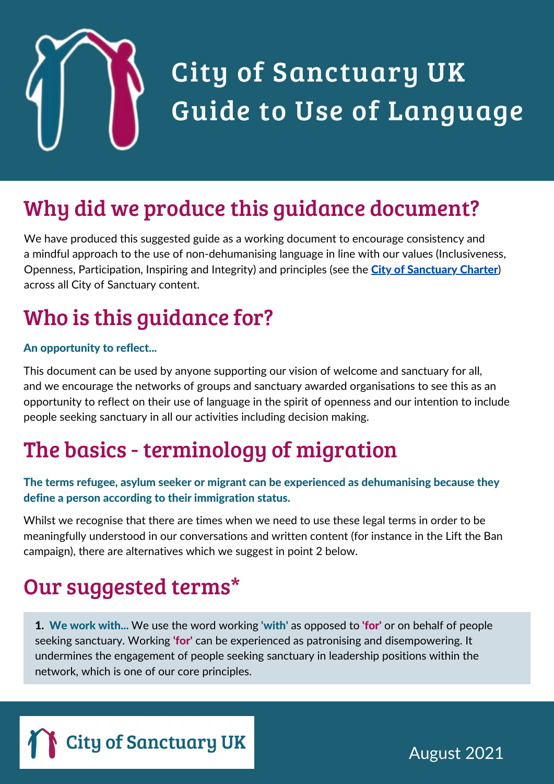

## City of Sanctuary UK Guide to Use of Language

### Why did we produce this guidance document?

We have produced this suggested guide as a working document to encourage consistency and a mindful approach to the use of non-dehumanising language in line with our values (Inclusiveness, Openness, Participation, Inspiring and Integrity) and principles (see the City of [Sanctuary](https://cityofsanctuary.org/wp-content/uploads/2017/05/Charter-single-pages-for-printing.pdf) Charter) across all City of Sanctuary content.

## Who is this guidance for?

#### An opportunity to reflect...

This document can be used by anyone supporting our vision of welcome and sanctuary for all, and we encourage the networks of groups and sanctuary awarded organisations to see this as an opportunity to reflect on their use of language in the spirit of openness and our intention to include people seeking sanctuary in all our activities including decision making.

#### The basics - terminology of migration

#### The terms refugee, asylum seeker or migrant can be experienced as dehumanising because they define a person according to their immigration status.

Whilst we recognise that there are times when we need to use these legal terms in order to be meaningfully understood in our conversations and written content (for instance in the Lift the Ban campaign), there are alternatives which we suggest in point 2 below.

#### Our suggested terms\*

**1. We work with...** We use the word working 'with' as opposed to 'for' or on behalf of people seeking sanctuary. Working **'for'** can be experienced as patronising and disempowering. It undermines the engagement of people seeking sanctuary in leadership positions within the network, which is one of our core principles.



August 2021